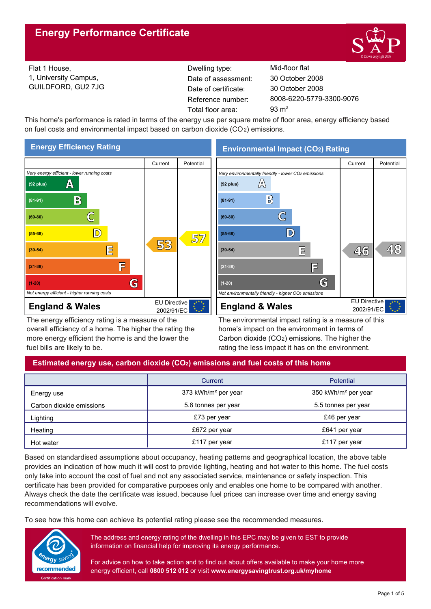

Flat 1 House, 1, University Campus, GUILDFORD, GU2 7JG Reference number: Dwelling type: Mid-floor flat Date of certificate: Total floor area: 93 m<sup>2</sup> Date of assessment:

8008-6220-5779-3300-9076 30 October 2008 30 October 2008

This home's performance is rated in terms of the energy use per square metre of floor area, energy efficiency based on fuel costs and environmental impact based on carbon dioxide (CO2) emissions.



The energy efficiency rating is a measure of the overall efficiency of a home. The higher the rating the more energy efficient the home is and the lower the fuel bills are likely to be.

**Environmental Impact (CO2) Rating**



The environmental impact rating is a measure of this home's impact on the environment in terms of Carbon dioxide (CO2) emissions. The higher the rating the less impact it has on the environment.

## **Estimated energy use, carbon dioxide (CO2) emissions and fuel costs of this home**

|                          | Current                         | <b>Potential</b>                |
|--------------------------|---------------------------------|---------------------------------|
| Energy use               | 373 kWh/m <sup>2</sup> per year | 350 kWh/m <sup>2</sup> per year |
| Carbon dioxide emissions | 5.8 tonnes per year             | 5.5 tonnes per year             |
| Lighting                 | £73 per year                    | £46 per year                    |
| Heating                  | £672 per year                   | £641 per year                   |
| Hot water                | £117 per year                   | £117 per year                   |

Based on standardised assumptions about occupancy, heating patterns and geographical location, the above table provides an indication of how much it will cost to provide lighting, heating and hot water to this home. The fuel costs only take into account the cost of fuel and not any associated service, maintenance or safety inspection. This certificate has been provided for comparative purposes only and enables one home to be compared with another. Always check the date the certificate was issued, because fuel prices can increase over time and energy saving recommendations will evolve.

To see how this home can achieve its potential rating please see the recommended measures.



The address and energy rating of the dwelling in this EPC may be given to EST to provide information on financial help for improving its energy performance.

For advice on how to take action and to find out about offers available to make your home more energy efficient, call **0800 512 012** or visit **www.energysavingtrust.org.uk/myhome**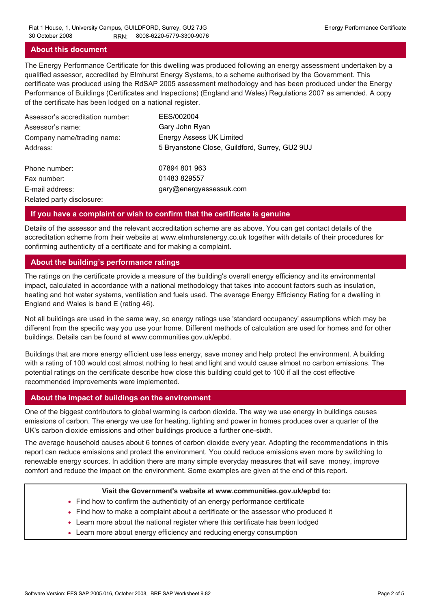## **About this document**

The Energy Performance Certificate for this dwelling was produced following an energy assessment undertaken by a qualified assessor, accredited by Elmhurst Energy Systems, to a scheme authorised by the Government. This certificate was produced using the RdSAP 2005 assessment methodology and has been produced under the Energy Performance of Buildings (Certificates and Inspections) (England and Wales) Regulations 2007 as amended. A copy of the certificate has been lodged on a national register.

| Assessor's accreditation number: | EES/002004                                     |
|----------------------------------|------------------------------------------------|
| Assessor's name:                 | Gary John Ryan                                 |
| Company name/trading name:       | <b>Energy Assess UK Limited</b>                |
| Address:                         | 5 Bryanstone Close, Guildford, Surrey, GU2 9UJ |
| Phone number:                    | 07894 801 963                                  |
| Fax number:                      | 01483 829557                                   |
| E-mail address:                  | gary@energyassessuk.com                        |
| Related party disclosure:        |                                                |

### **If you have a complaint or wish to confirm that the certificate is genuine**

Details of the assessor and the relevant accreditation scheme are as above. You can get contact details of the accreditation scheme from their website at www.elmhurstenergy.co.uk together with details of their procedures for confirming authenticity of a certificate and for making a complaint.

## **About the building's performance ratings**

The ratings on the certificate provide a measure of the building's overall energy efficiency and its environmental impact, calculated in accordance with a national methodology that takes into account factors such as insulation, heating and hot water systems, ventilation and fuels used. The average Energy Efficiency Rating for a dwelling in England and Wales is band E (rating 46).

Not all buildings are used in the same way, so energy ratings use 'standard occupancy' assumptions which may be different from the specific way you use your home. Different methods of calculation are used for homes and for other buildings. Details can be found at www.communities.gov.uk/epbd.

Buildings that are more energy efficient use less energy, save money and help protect the environment. A building with a rating of 100 would cost almost nothing to heat and light and would cause almost no carbon emissions. The potential ratings on the certificate describe how close this building could get to 100 if all the cost effective recommended improvements were implemented.

### **About the impact of buildings on the environment**

One of the biggest contributors to global warming is carbon dioxide. The way we use energy in buildings causes emissions of carbon. The energy we use for heating, lighting and power in homes produces over a quarter of the UK's carbon dioxide emissions and other buildings produce a further one-sixth.

The average household causes about 6 tonnes of carbon dioxide every year. Adopting the recommendations in this report can reduce emissions and protect the environment. You could reduce emissions even more by switching to renewable energy sources. In addition there are many simple everyday measures that will save money, improve comfort and reduce the impact on the environment. Some examples are given at the end of this report.

#### **Visit the Government's website at www.communities.gov.uk/epbd to:**

- Find how to confirm the authenticity of an energy performance certificate
- Find how to make a complaint about a certificate or the assessor who produced it •
- Learn more about the national register where this certificate has been lodged •
- Learn more about energy efficiency and reducing energy consumption •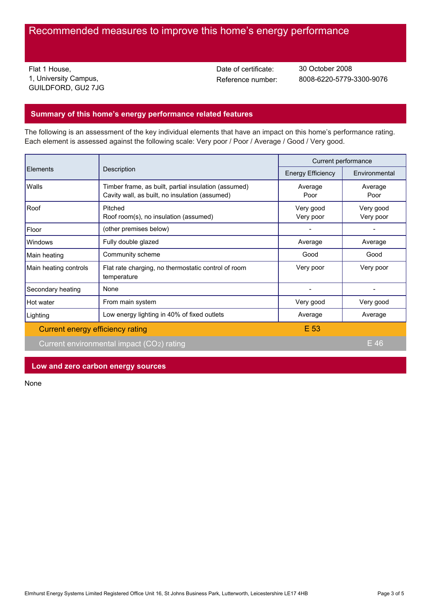# Recommended measures to improve this home's energy performance

Flat 1 House, 1, University Campus, GUILDFORD, GU2 7JG Date of certificate:

Reference number: 8008-6220-5779-3300-9076 30 October 2008

## **Summary of this home's energy performance related features**

The following is an assessment of the key individual elements that have an impact on this home's performance rating. Each element is assessed against the following scale: Very poor / Poor / Average / Good / Very good.

| Elements                                  | Description                                                                                            | Current performance      |                        |
|-------------------------------------------|--------------------------------------------------------------------------------------------------------|--------------------------|------------------------|
|                                           |                                                                                                        | <b>Energy Efficiency</b> | Environmental          |
| Walls                                     | Timber frame, as built, partial insulation (assumed)<br>Cavity wall, as built, no insulation (assumed) | Average<br>Poor          | Average<br>Poor        |
| Roof                                      | Pitched<br>Roof room(s), no insulation (assumed)                                                       | Very good<br>Very poor   | Very good<br>Very poor |
| Floor                                     | (other premises below)                                                                                 |                          |                        |
| Windows                                   | Fully double glazed                                                                                    | Average                  | Average                |
| Main heating                              | Community scheme                                                                                       | Good                     | Good                   |
| Main heating controls                     | Flat rate charging, no thermostatic control of room<br>temperature                                     | Very poor                | Very poor              |
| Secondary heating                         | None                                                                                                   |                          |                        |
| Hot water                                 | From main system                                                                                       | Very good                | Very good              |
| Lighting                                  | Low energy lighting in 40% of fixed outlets                                                            | Average                  | Average                |
| Current energy efficiency rating          |                                                                                                        | E 53                     |                        |
| Current environmental impact (CO2) rating |                                                                                                        |                          | $E$ 46                 |

**Low and zero carbon energy sources**

None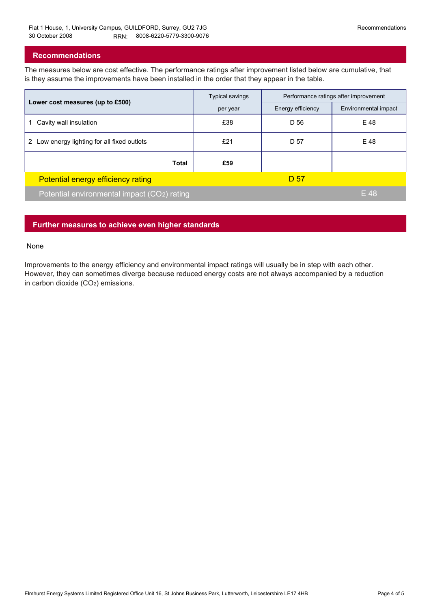## **Recommendations**

The measures below are cost effective. The performance ratings after improvement listed below are cumulative, that is they assume the improvements have been installed in the order that they appear in the table.

|                                                | Typical savings | Performance ratings after improvement |                      |
|------------------------------------------------|-----------------|---------------------------------------|----------------------|
| Lower cost measures (up to £500)               | per year        | Energy efficiency                     | Environmental impact |
| Cavity wall insulation                         | £38             | D 56                                  | E 48                 |
| Low energy lighting for all fixed outlets<br>2 | £21             | D 57                                  | E 48                 |
| <b>Total</b>                                   | £59             |                                       |                      |
| Potential energy efficiency rating             |                 | D 57                                  |                      |
| Potential environmental impact (CO2) rating    |                 |                                       | E 48                 |

## **Further measures to achieve even higher standards**

#### None

Improvements to the energy efficiency and environmental impact ratings will usually be in step with each other. However, they can sometimes diverge because reduced energy costs are not always accompanied by a reduction in carbon dioxide (CO2) emissions.